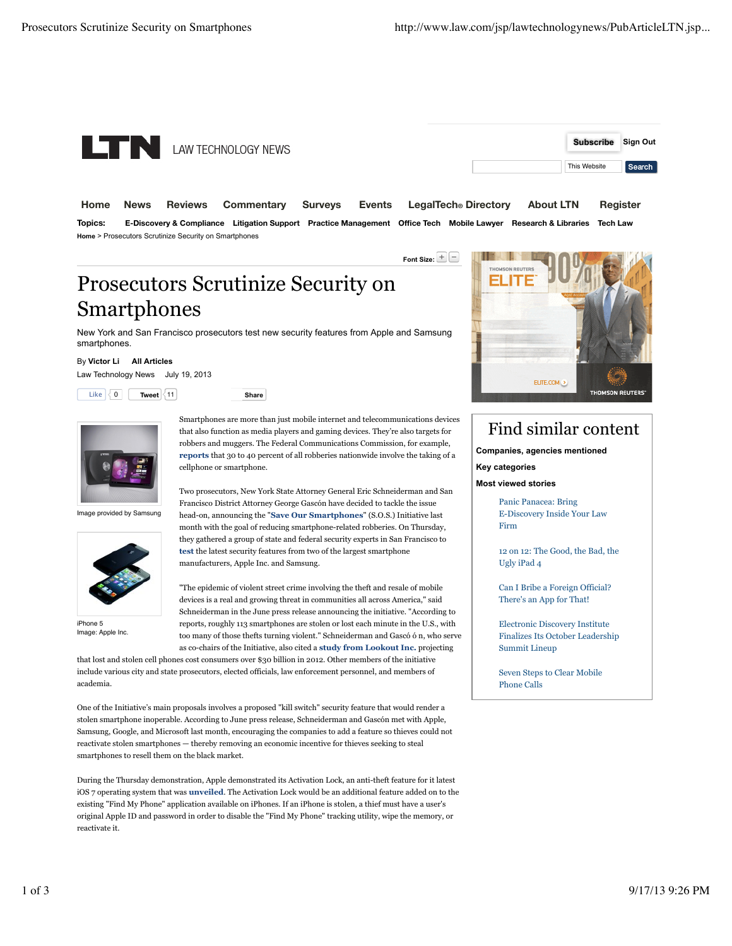

**Home News Reviews Commentary Surveys Events LegalTech® Directory About LTN Register Topics: E-Discovery & Compliance Litigation Support Practice Management Office Tech Mobile Lawyer Research & Libraries Tech Law Home** > Prosecutors Scrutinize Security on Smartphones

**Font Size:** 

# Prosecutors Scrutinize Security on **Smartphones**

New York and San Francisco prosecutors test new security features from Apple and Samsung smartphones.

#### By **Victor Li All Articles**

Law Technology News July 19, 2013

 $List \begin{pmatrix} 0 & | & \mathsf{Twoet} \end{pmatrix}$  **Share** 

Image provided by Samsung



iPhone 5 Image: Apple Inc.

Smartphones are more than just mobile internet and telecommunications devices that also function as media players and gaming devices. They're also targets for robbers and muggers. The Federal Communications Commission, for example, **reports** that 30 to 40 percent of all robberies nationwide involve the taking of a cellphone or smartphone.

Two prosecutors, New York State Attorney General Eric Schneiderman and San Francisco District Attorney George Gascón have decided to tackle the issue head-on, announcing the "**Save Our Smartphones**" (S.O.S.) Initiative last month with the goal of reducing smartphone-related robberies. On Thursday, they gathered a group of state and federal security experts in San Francisco to **test** the latest security features from two of the largest smartphone manufacturers, Apple Inc. and Samsung.

"The epidemic of violent street crime involving the theft and resale of mobile devices is a real and growing threat in communities all across America," said Schneiderman in the June press release announcing the initiative. "According to reports, roughly 113 smartphones are stolen or lost each minute in the U.S., with too many of those thefts turning violent." Schneiderman and Gascó ó n, who serve as co-chairs of the Initiative, also cited a **study from Lookout Inc.** projecting

that lost and stolen cell phones cost consumers over \$30 billion in 2012. Other members of the initiative include various city and state prosecutors, elected officials, law enforcement personnel, and members of academia.

One of the Initiative's main proposals involves a proposed "kill switch" security feature that would render a stolen smartphone inoperable. According to June press release, Schneiderman and Gascón met with Apple, Samsung, Google, and Microsoft last month, encouraging the companies to add a feature so thieves could not reactivate stolen smartphones — thereby removing an economic incentive for thieves seeking to steal smartphones to resell them on the black market.

During the Thursday demonstration, Apple demonstrated its Activation Lock, an anti-theft feature for it latest iOS 7 operating system that was **unveiled**. The Activation Lock would be an additional feature added on to the existing "Find My Phone" application available on iPhones. If an iPhone is stolen, a thief must have a user's original Apple ID and password in order to disable the "Find My Phone" tracking utility, wipe the memory, or reactivate it.



## Find similar content

**Companies, agencies mentioned** 

**Key categories** 

**Most viewed stories** 

Panic Panacea: Bring E-Discovery Inside Your Law Firm

12 on 12: The Good, the Bad, the Ugly iPad 4

Can I Bribe a Foreign Official? There's an App for That!

Electronic Discovery Institute Finalizes Its October Leadership Summit Lineup

Seven Steps to Clear Mobile Phone Calls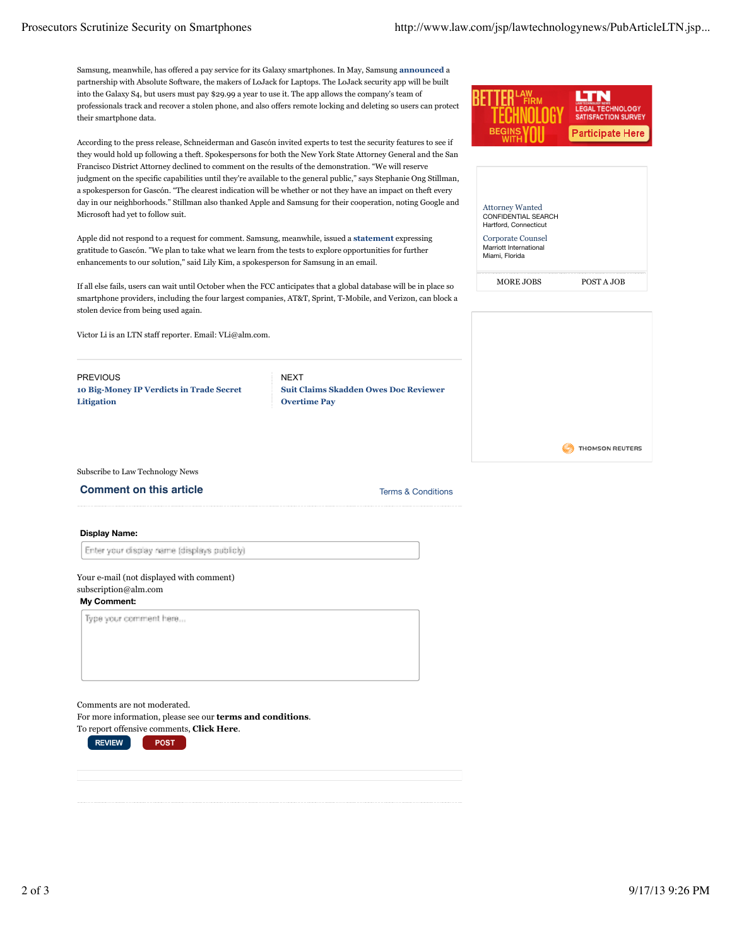Samsung, meanwhile, has offered a pay service for its Galaxy smartphones. In May, Samsung **announced** a partnership with Absolute Software, the makers of LoJack for Laptops. The LoJack security app will be built into the Galaxy S4, but users must pay \$29.99 a year to use it. The app allows the company's team of professionals track and recover a stolen phone, and also offers remote locking and deleting so users can protect their smartphone data.

According to the press release, Schneiderman and Gascón invited experts to test the security features to see if they would hold up following a theft. Spokespersons for both the New York State Attorney General and the San Francisco District Attorney declined to comment on the results of the demonstration. "We will reserve judgment on the specific capabilities until they're available to the general public," says Stephanie Ong Stillman, a spokesperson for Gascón. "The clearest indication will be whether or not they have an impact on theft every day in our neighborhoods." Stillman also thanked Apple and Samsung for their cooperation, noting Google and Microsoft had yet to follow suit.

Apple did not respond to a request for comment. Samsung, meanwhile, issued a **statement** expressing gratitude to Gascón. "We plan to take what we learn from the tests to explore opportunities for further enhancements to our solution," said Lily Kim, a spokesperson for Samsung in an email.

If all else fails, users can wait until October when the FCC anticipates that a global database will be in place so smartphone providers, including the four largest companies, AT&T, Sprint, T-Mobile, and Verizon, can block a stolen device from being used again.

Victor Li is an LTN staff reporter. Email: VLi@alm.com.

PREVIOUS **10 Big-Money IP Verdicts in Trade Secret Litigation**

**NFXT Suit Claims Skadden Owes Doc Reviewer Overtime Pay**



| <b>Attorney Wanted</b><br>CONFIDENTIAL SEARCH<br>Hartford, Connecticut |            |
|------------------------------------------------------------------------|------------|
| Corporate Counsel<br>Marriott International<br>Miami, Florida          |            |
| MORE JOBS                                                              | POST A JOB |



Subscribe to Law Technology News

**Comment on this article** Terms & Conditions

**Display Name:**

Enter your display name (displays publicly)

### Your e-mail (not displayed with comment) subscription@alm.com

### **My Comment:**

Type your comment here...

Comments are not moderated.

For more information, please see our **terms and conditions**.

To report offensive comments, **Click Here**. **POST** 

**REVIEW**